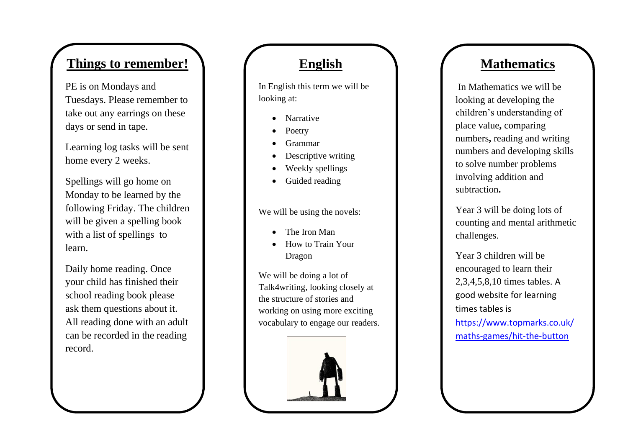# **Things to remember!**

PE is on Mondays and Tuesdays. Please remember to take out any earrings on these days or send in tape .

Learning log tasks will be sent home every 2 weeks.

Spellings will go home on Monday to be learned by the following Friday. The children will be given a spelling book with a list of spellings to learn.

Daily home reading. Once your child has finished their school reading book please ask them questions about it. All reading done with an adult can be recorded in the reading record.

### **English**

In English this term we will be looking at:

- Narrative
- Poetry
- Grammar
- Descriptive writing
- Weekly spellings
- Guided reading

We will be using the novels:

- The Iron Man
- How to Train Your Dragon

We will be doing a lot of Talk4writing, looking closely at the structure of stories and working on using more exciting vocabulary to engage our readers.



# **Mathematics**

In Mathematics we will be looking at developing the children's understanding of place value**,** comparing numbers**,** reading and writing numbers and developing skills to solve number problems involving addition and subtraction**.** 

Year 3 will be doing lots of counting and mental arithmetic challenges.

Year 3 children will be encouraged to learn their 2,3,4,5,8,10 times tables. A good website for learning times tables is [https://www.topmarks.co.uk/](https://www.topmarks.co.uk/maths-games/hit-the-button) maths[-games/hit](https://www.topmarks.co.uk/maths-games/hit-the-button)-the-button